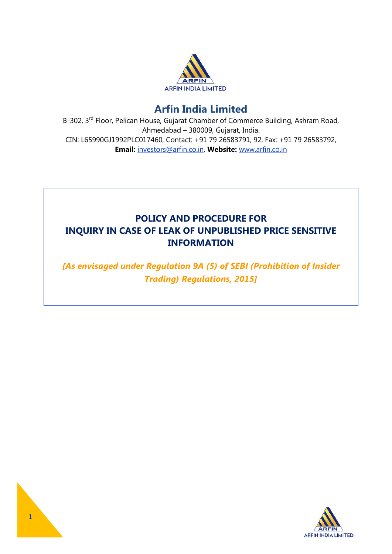

# **Arfin India Limited**

B-302, 3<sup>rd</sup> Floor, Pelican House, Gujarat Chamber of Commerce Building, Ashram Road, Ahmedabad – 380009, Gujarat, India. CIN: L65990GJ1992PLC017460, Contact: +91 79 26583791, 92, Fax: +91 79 26583792, **Email:** investors@arfin.co.in, **Website:** www.arfin.co.in

## **POLICY AND PROCEDURE FOR INQUIRY IN CASE OF LEAK OF UNPUBLISHED PRICE SENSITIVE INFORMATION**

*[As envisaged under Regulation 9A (5) of SEBI (Prohibition of Insider Trading) Regulations, 2015]*

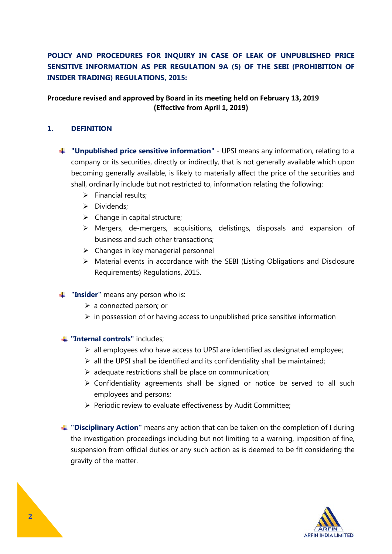## **POLICY AND PROCEDURES FOR INQUIRY IN CASE OF LEAK OF UNPUBLISHED PRICE SENSITIVE INFORMATION AS PER REGULATION 9A (5) OF THE SEBI (PROHIBITION OF INSIDER TRADING) REGULATIONS, 2015:**

## **Procedure revised and approved by Board in its meeting held on February 13, 2019 (Effective from April 1, 2019)**

## **1. DEFINITION**

- **"Unpublished price sensitive information"** UPSI means any information, relating to a company or its securities, directly or indirectly, that is not generally available which upon becoming generally available, is likely to materially affect the price of the securities and shall, ordinarily include but not restricted to, information relating the following:
	- $\triangleright$  Financial results:
	- Dividends;
	- $\triangleright$  Change in capital structure;
	- Mergers, de-mergers, acquisitions, delistings, disposals and expansion of business and such other transactions;
	- $\triangleright$  Changes in key managerial personnel
	- Material events in accordance with the SEBI (Listing Obligations and Disclosure Requirements) Regulations, 2015.
- **Timushing 1 Insider**" means any person who is:
	- $\triangleright$  a connected person; or
	- $\triangleright$  in possession of or having access to unpublished price sensitive information

#### **"Internal controls"** includes;

- $\triangleright$  all employees who have access to UPSI are identified as designated employee;
- $\triangleright$  all the UPSI shall be identified and its confidentiality shall be maintained;
- $\triangleright$  adequate restrictions shall be place on communication;
- $\triangleright$  Confidentiality agreements shall be signed or notice be served to all such employees and persons;
- $\triangleright$  Periodic review to evaluate effectiveness by Audit Committee;

**"Disciplinary Action"** means any action that can be taken on the completion of I during the investigation proceedings including but not limiting to a warning, imposition of fine, suspension from official duties or any such action as is deemed to be fit considering the gravity of the matter.

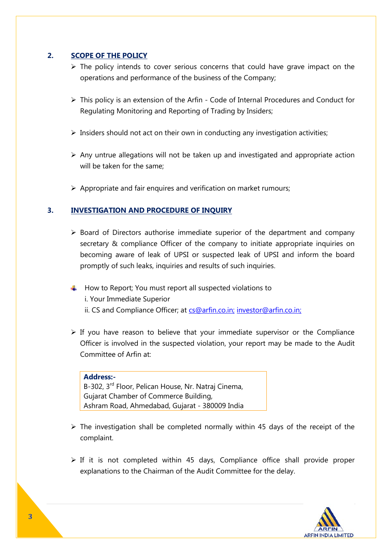## **2. SCOPE OF THE POLICY**

- $\triangleright$  The policy intends to cover serious concerns that could have grave impact on the operations and performance of the business of the Company;
- $\triangleright$  This policy is an extension of the Arfin Code of Internal Procedures and Conduct for Regulating Monitoring and Reporting of Trading by Insiders;
- $\triangleright$  Insiders should not act on their own in conducting any investigation activities;
- $\triangleright$  Any untrue allegations will not be taken up and investigated and appropriate action will be taken for the same;
- $\triangleright$  Appropriate and fair enquires and verification on market rumours;

### **3. INVESTIGATION AND PROCEDURE OF INQUIRY**

- $\triangleright$  Board of Directors authorise immediate superior of the department and company secretary & compliance Officer of the company to initiate appropriate inquiries on becoming aware of leak of UPSI or suspected leak of UPSI and inform the board promptly of such leaks, inquiries and results of such inquiries.
- $\ddot{\phantom{1}}$  How to Report; You must report all suspected violations to i. Your Immediate Superior ii. CS and Compliance Officer; at [cs@arfin.co.in;](mailto:cs@arfin.co.in) investor@arfin.co.in;
- $\triangleright$  If you have reason to believe that your immediate supervisor or the Compliance Officer is involved in the suspected violation, your report may be made to the Audit Committee of Arfin at:

#### **Address:-**

B-302, 3<sup>rd</sup> Floor, Pelican House, Nr. Natrai Cinema. Gujarat Chamber of Commerce Building, Ashram Road, Ahmedabad, Gujarat - 380009 India

- $\triangleright$  The investigation shall be completed normally within 45 days of the receipt of the complaint.
- $\triangleright$  If it is not completed within 45 days, Compliance office shall provide proper explanations to the Chairman of the Audit Committee for the delay.